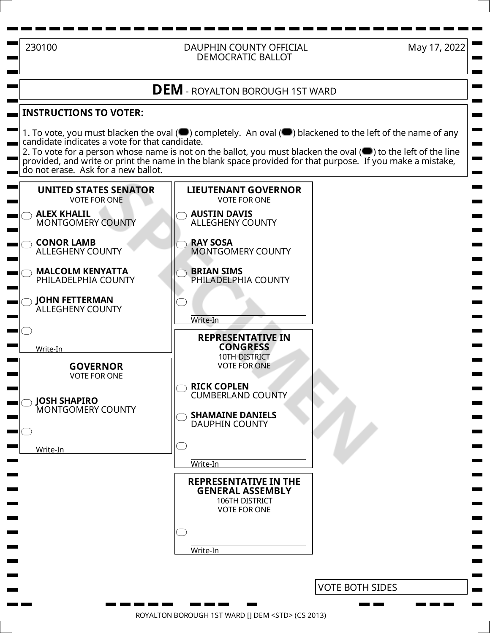## 230100 DAUPHIN COUNTY OFFICIAL DEMOCRATIC BALLOT

May 17, 2022

## **DEM** - ROYALTON BOROUGH 1ST WARD

## **INSTRUCTIONS TO VOTER:**

1. To vote, you must blacken the oval  $(\blacksquare)$  completely. An oval  $(\blacksquare)$  blackened to the left of the name of any candidate indicates a vote for that candidate.

2. To vote for a person whose name is not on the ballot, you must blacken the oval  $($ **)** to the left of the line provided, and write or print the name in the blank space provided for that purpose. If you make a mistake, do not erase. Ask for a new ballot.



VOTE BOTH SIDES